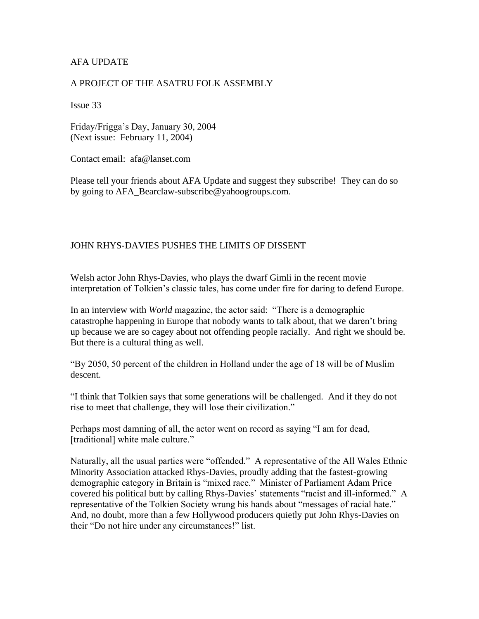## AFA UPDATE

## A PROJECT OF THE ASATRU FOLK ASSEMBLY

Issue 33

Friday/Frigga's Day, January 30, 2004 (Next issue: February 11, 2004)

Contact email: afa@lanset.com

Please tell your friends about AFA Update and suggest they subscribe! They can do so by going to AFA\_Bearclaw-subscribe@yahoogroups.com.

## JOHN RHYS-DAVIES PUSHES THE LIMITS OF DISSENT

Welsh actor John Rhys-Davies, who plays the dwarf Gimli in the recent movie interpretation of Tolkien's classic tales, has come under fire for daring to defend Europe.

In an interview with *World* magazine, the actor said: "There is a demographic catastrophe happening in Europe that nobody wants to talk about, that we daren't bring up because we are so cagey about not offending people racially. And right we should be. But there is a cultural thing as well.

"By 2050, 50 percent of the children in Holland under the age of 18 will be of Muslim descent.

"I think that Tolkien says that some generations will be challenged. And if they do not rise to meet that challenge, they will lose their civilization."

Perhaps most damning of all, the actor went on record as saying "I am for dead, [traditional] white male culture."

Naturally, all the usual parties were "offended." A representative of the All Wales Ethnic Minority Association attacked Rhys-Davies, proudly adding that the fastest-growing demographic category in Britain is "mixed race." Minister of Parliament Adam Price covered his political butt by calling Rhys-Davies' statements "racist and ill-informed." A representative of the Tolkien Society wrung his hands about "messages of racial hate." And, no doubt, more than a few Hollywood producers quietly put John Rhys-Davies on their "Do not hire under any circumstances!" list.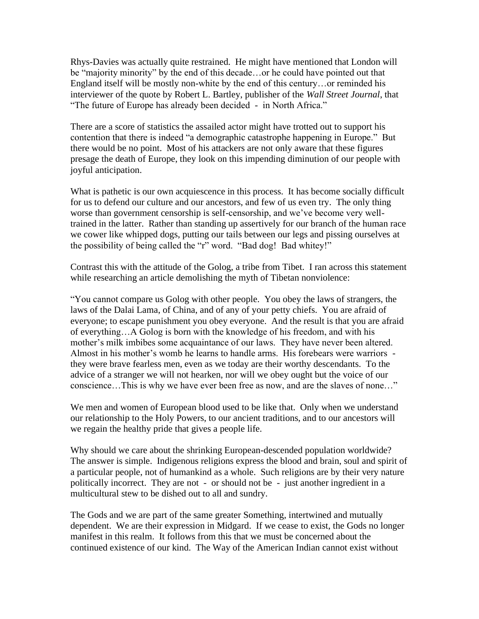Rhys-Davies was actually quite restrained. He might have mentioned that London will be "majority minority" by the end of this decade…or he could have pointed out that England itself will be mostly non-white by the end of this century…or reminded his interviewer of the quote by Robert L. Bartley, publisher of the *Wall Street Journal*, that "The future of Europe has already been decided - in North Africa."

There are a score of statistics the assailed actor might have trotted out to support his contention that there is indeed "a demographic catastrophe happening in Europe." But there would be no point. Most of his attackers are not only aware that these figures presage the death of Europe, they look on this impending diminution of our people with joyful anticipation.

What is pathetic is our own acquiescence in this process. It has become socially difficult for us to defend our culture and our ancestors, and few of us even try. The only thing worse than government censorship is self-censorship, and we've become very welltrained in the latter. Rather than standing up assertively for our branch of the human race we cower like whipped dogs, putting our tails between our legs and pissing ourselves at the possibility of being called the "r" word. "Bad dog! Bad whitey!"

Contrast this with the attitude of the Golog, a tribe from Tibet. I ran across this statement while researching an article demolishing the myth of Tibetan nonviolence:

"You cannot compare us Golog with other people. You obey the laws of strangers, the laws of the Dalai Lama, of China, and of any of your petty chiefs. You are afraid of everyone; to escape punishment you obey everyone. And the result is that you are afraid of everything…A Golog is born with the knowledge of his freedom, and with his mother's milk imbibes some acquaintance of our laws. They have never been altered. Almost in his mother's womb he learns to handle arms. His forebears were warriors they were brave fearless men, even as we today are their worthy descendants. To the advice of a stranger we will not hearken, nor will we obey ought but the voice of our conscience…This is why we have ever been free as now, and are the slaves of none…"

We men and women of European blood used to be like that. Only when we understand our relationship to the Holy Powers, to our ancient traditions, and to our ancestors will we regain the healthy pride that gives a people life.

Why should we care about the shrinking European-descended population worldwide? The answer is simple. Indigenous religions express the blood and brain, soul and spirit of a particular people, not of humankind as a whole. Such religions are by their very nature politically incorrect. They are not - or should not be - just another ingredient in a multicultural stew to be dished out to all and sundry.

The Gods and we are part of the same greater Something, intertwined and mutually dependent. We are their expression in Midgard. If we cease to exist, the Gods no longer manifest in this realm. It follows from this that we must be concerned about the continued existence of our kind. The Way of the American Indian cannot exist without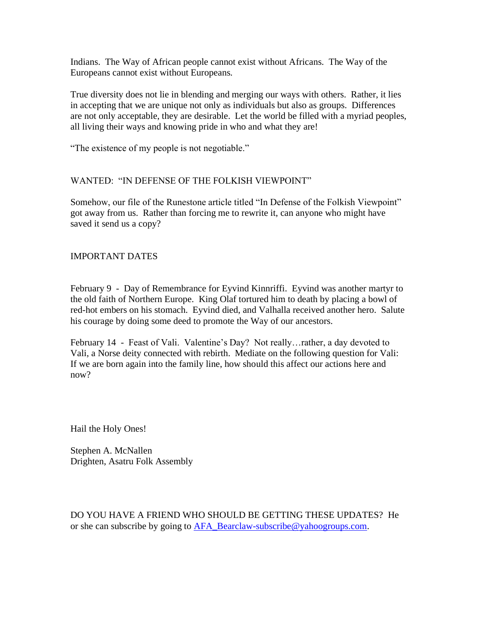Indians. The Way of African people cannot exist without Africans. The Way of the Europeans cannot exist without Europeans.

True diversity does not lie in blending and merging our ways with others. Rather, it lies in accepting that we are unique not only as individuals but also as groups. Differences are not only acceptable, they are desirable. Let the world be filled with a myriad peoples, all living their ways and knowing pride in who and what they are!

"The existence of my people is not negotiable."

## WANTED: "IN DEFENSE OF THE FOLKISH VIEWPOINT"

Somehow, our file of the Runestone article titled "In Defense of the Folkish Viewpoint" got away from us. Rather than forcing me to rewrite it, can anyone who might have saved it send us a copy?

IMPORTANT DATES

February 9 - Day of Remembrance for Eyvind Kinnriffi. Eyvind was another martyr to the old faith of Northern Europe. King Olaf tortured him to death by placing a bowl of red-hot embers on his stomach. Eyvind died, and Valhalla received another hero. Salute his courage by doing some deed to promote the Way of our ancestors.

February 14 - Feast of Vali. Valentine's Day? Not really…rather, a day devoted to Vali, a Norse deity connected with rebirth. Mediate on the following question for Vali: If we are born again into the family line, how should this affect our actions here and now?

Hail the Holy Ones!

Stephen A. McNallen Drighten, Asatru Folk Assembly

DO YOU HAVE A FRIEND WHO SHOULD BE GETTING THESE UPDATES? He or she can subscribe by going to [AFA\\_Bearclaw-subscribe@yahoogroups.com.](mailto:AFA_Bearclaw-subscribe@yahoogroups.com)